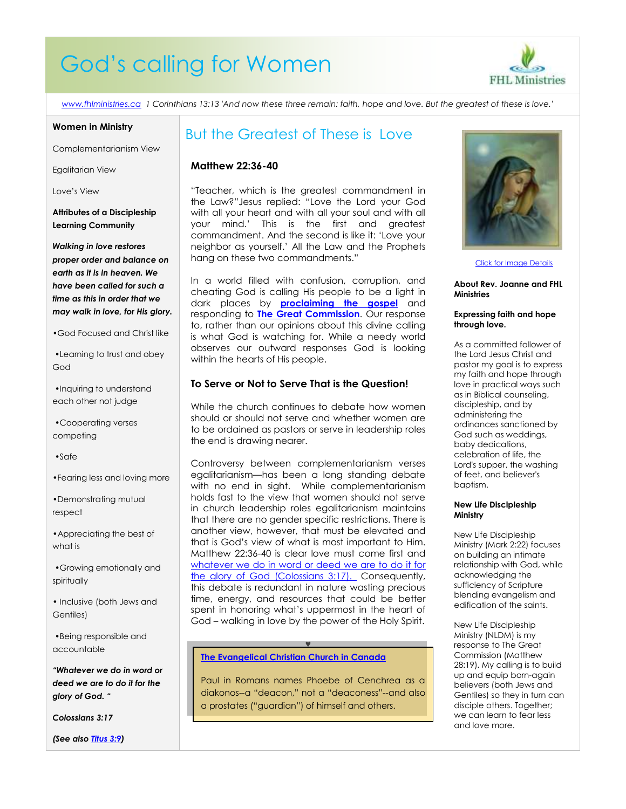# God's calling for Women



*[www.fhlministries.ca](http://www.fhlministries.ca/) 1 Corinthians 13:13 'And now these three remain: faith, hope and love. But the greatest of these is love.'*

#### **Women in Ministry**

Complementarianism View

Egalitarian View

Love's View

**Attributes of a Discipleship Learning Community**

*Walking in love restores proper order and balance on earth as it is in heaven. We have been called for such a time as this in order that we may walk in love, for His glory.*

•God Focused and Christ like

•Learning to trust and obey God

•Inquiring to understand each other not judge

•Cooperating verses competing

•Safe

•Fearing less and loving more

•Demonstrating mutual respect

•Appreciating the best of what is

•Growing emotionally and spiritually

• Inclusive (both Jews and Gentiles)

•Being responsible and accountable

*"Whatever we do in word or deed we are to do it for the glory of God. "*

*Colossians 3:17*

*(See also [Titus 3:9\)](http://bible.cc/titus/3-9.htm)*

### But the Greatest of These is Love

### **Matthew 22:36-40**

"Teacher, which is the greatest commandment in the Law?"Jesus replied: "Love the Lord your God with all your heart and with all your soul and with all your mind.' This is the first and greatest commandment. And the second is like it: 'Love your neighbor as yourself.' All the Law and the Prophets hang on these two commandments."

In a world filled with confusion, corruption, and cheating God is calling His people to be a light in dark places by **[proclaiming the gospel](http://www.gotquestions.org/gospel-of-inclusion.html)** and responding to **[The Great Commission](http://www.gotquestions.org/great-commission.html)**. Our response to, rather than our opinions about this divine calling is what God is watching for. While a needy world observes our outward responses God is looking within the hearts of His people.

### **To Serve or Not to Serve That is the Question!**

While the church continues to debate how women should or should not serve and whether women are to be ordained as pastors or serve in leadership roles the end is drawing nearer.

Controversy between [complementarianism verses](http://www.gotquestions.org/complementarianism-vs-egalitarianism.html)  [egalitarianism](http://www.gotquestions.org/complementarianism-vs-egalitarianism.html)—has been a long standing debate with no end in sight. While complementarianism holds fast to the view that women should not serve in church leadership roles egalitarianism maintains that there are no gender specific restrictions. There is another view, however, that must be elevated and that is God's view of what is most important to Him. Matthew 22:36-40 is clear love must come first and whatever we do in word or deed we are to do it for [the glory of God](http://bible.cc/colossians/3-17.htm) (Colossians 3:17). Consequently, this debate is redundant in nature wasting precious time, energy, and resources that could be better spent in honoring what's uppermost in the heart of God – walking in love by the power of the Holy Spirit.

### **[The Evangelical Christian Church in Canada](http://www.cecconline.com/node/86)**

Paul in Romans names Phoebe of Cenchrea as a diakonos--a "deacon," not a "deaconess"--and also a prostates ("guardian") of himself and others.

Y



[Click for Image Details](http://www.google.com/search?hl=en&q=christian%20women)

**About Rev. Joanne and FHL Ministries**

#### **Expressing faith and hope through love.**

As a committed follower of the Lord Jesus Christ and pastor my goal is to express my faith and hope through love in practical ways such as in Biblical counseling, discipleship, and by administering the ordinances sanctioned by God such as weddings, baby dedications, celebration of life, the Lord's supper, the washing of feet, and believer's baptism.

#### **New Life Discipleship Ministry**

New Life Discipleship Ministry (Mark 2:22) focuses on building an intimate relationship with God, while acknowledging the sufficiency of Scripture blending evangelism and edification of the saints.

New Life Discipleship Ministry (NLDM) is my response to The Great Commission (Matthew 28:19). My calling is to build up and equip born-again believers (both Jews and Gentiles) so they in turn can disciple others. Together; we can learn to fear less and love more.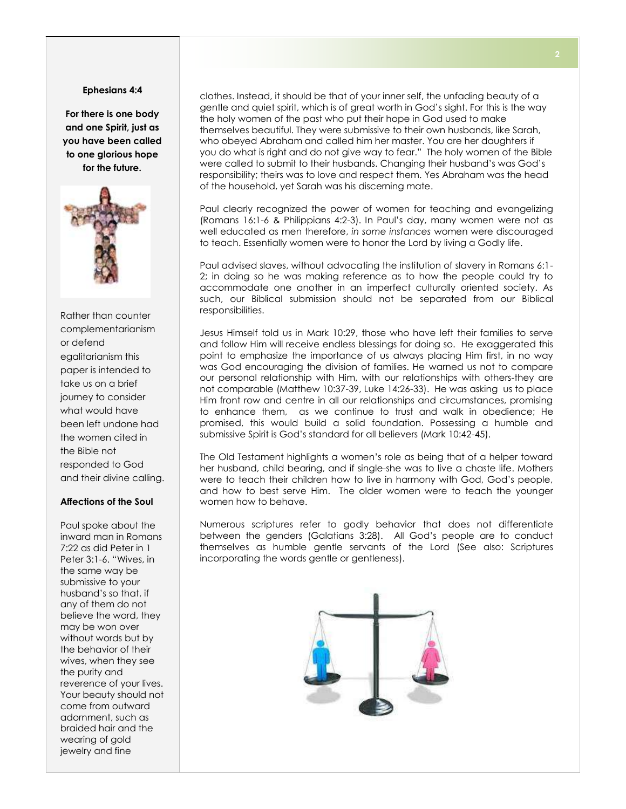### **Ephesians 4:4**

**For there is one body and one Spirit, just as you have been called to one glorious hope for the future.**



Rather than counter complementarianism or defend egalitarianism this paper is intended to take us on a brief journey to consider what would have been left undone had the women cited in the Bible not responded to God and their divine calling.

### **Affections of the Soul**

Paul spoke about the inward man in Romans 7:22 as did Peter in 1 Peter 3:1-6. "Wives, in the same way be submissive to your husband's so that, if any of them do not believe the word, they may be won over without words but by the behavior of their wives, when they see the purity and reverence of your lives. Your beauty should not come from outward adornment, such as braided hair and the wearing of gold jewelry and fine

clothes. Instead, it should be that of your inner self, the unfading beauty of a gentle and quiet spirit, which is of great worth in God's sight. For this is the way the holy women of the past who put their hope in God used to make themselves beautiful. They were submissive to their own husbands, like Sarah, who obeyed Abraham and called him her master. You are her daughters if you do what is right and do not give way to fear." The holy women of the Bible were called to submit to their husbands. Changing their husband's was God's responsibility; theirs was to love and respect them. Yes Abraham was the head of the household, yet Sarah was his discerning mate.

Paul clearly recognized the power of women for teaching and evangelizing (Romans 16:1-6 & Philippians 4:2-3). In Paul's day, many women were not as well educated as men therefore, *in some instances* women were discouraged to teach. Essentially women were to honor the Lord by living a Godly life.

Paul advised slaves, without advocating the institution of slavery in Romans 6:1- 2; in doing so he was making reference as to how the people could try to accommodate one another in an imperfect culturally oriented society. As such, our Biblical submission should not be separated from our Biblical responsibilities.

Jesus Himself told us in Mark 10:29, those who have left their families to serve and follow Him will receive endless blessings for doing so. He exaggerated this point to emphasize the importance of us always placing Him first, in no way was God encouraging the division of families. He warned us not to compare our personal relationship with Him, with our relationships with others-they are not comparable (Matthew 10:37-39, Luke 14:26-33). He was asking us to place Him front row and centre in all our relationships and circumstances, promising to enhance them, as we continue to trust and walk in obedience; He promised, this would build a solid foundation. Possessing a humble and submissive Spirit is God's standard for all believers (Mark 10:42-45).

The Old Testament highlights a women's role as being that of a helper toward her husband, child bearing, and if single-she was to live a chaste life. Mothers were to teach their children how to live in harmony with God, God's people, and how to best serve Him. The older women were to teach the younger women how to behave.

Numerous scriptures refer to godly behavior that does not differentiate between the genders (Galatians 3:28). All God's people are to conduct themselves as humble gentle servants of the Lord (See also: Scriptures incorporating the words gentle or gentleness).

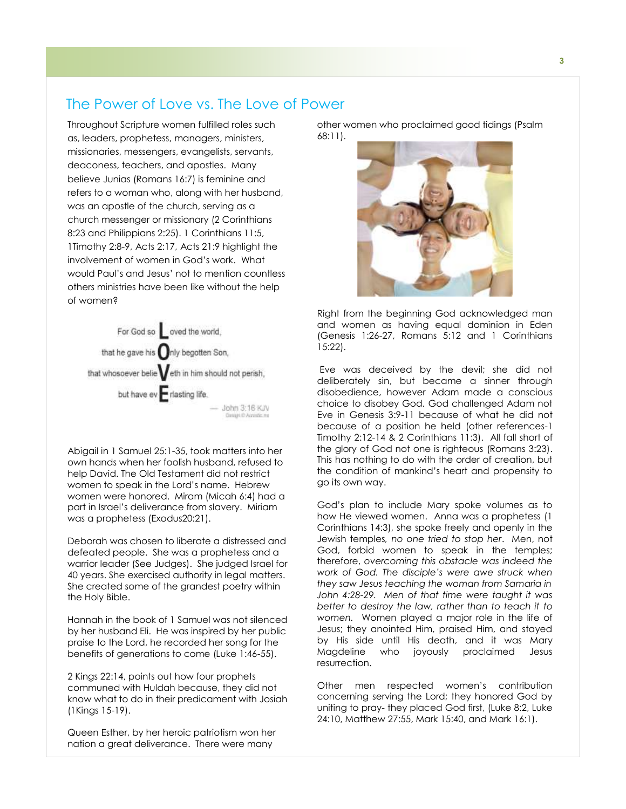### The Power of Love vs. The Love of Power

Throughout Scripture women fulfilled roles such as, leaders, prophetess, managers, ministers, missionaries, messengers, evangelists, servants, deaconess, teachers, and apostles. Many believe Junias (Romans 16:7) is feminine and refers to a woman who, along with her husband, was an apostle of the church, serving as a church messenger or missionary (2 Corinthians 8:23 and Philippians 2:25). 1 Corinthians 11:5, 1Timothy 2:8-9, Acts 2:17, Acts 21:9 highlight the involvement of women in God's work. What would Paul's and Jesus' not to mention countless others ministries have been like without the help of women?



Abigail in 1 Samuel 25:1-35, took matters into her own hands when her foolish husband, refused to help David. The Old Testament did not restrict women to speak in the Lord's name. Hebrew women were honored. Miram (Micah 6:4) had a part in Israel's deliverance from slavery. Miriam was a prophetess (Exodus20:21).

Deborah was chosen to liberate a distressed and defeated people. She was a prophetess and a warrior leader (See Judges). She judged Israel for 40 years. She exercised authority in legal matters. She created some of the grandest poetry within the Holy Bible.

Hannah in the book of 1 Samuel was not silenced by her husband Eli. He was inspired by her public praise to the Lord, he recorded her song for the benefits of generations to come (Luke 1:46-55).

2 Kings 22:14, points out how four prophets communed with Huldah because, they did not know what to do in their predicament with Josiah (1Kings 15-19).

Queen Esther, by her heroic patriotism won her nation a great deliverance. There were many

other women who proclaimed good tidings (Psalm 68:11).



Right from the beginning God acknowledged man and women as having equal dominion in Eden (Genesis 1:26-27, Romans 5:12 and 1 Corinthians 15:22).

Eve was deceived by the devil; she did not deliberately sin, but became a sinner through disobedience, however Adam made a conscious choice to disobey God. God challenged Adam not Eve in Genesis 3:9-11 because of what he did not because of a position he held (other references-1 Timothy 2:12-14 & 2 Corinthians 11:3). All fall short of the glory of God not one is righteous (Romans 3:23). This has nothing to do with the order of creation, but the condition of mankind's heart and propensity to go its own way.

God's plan to include Mary spoke volumes as to how He viewed women. Anna was a prophetess (1 Corinthians 14:3), she spoke freely and openly in the Jewish temples*, no one tried to stop her*. Men, not God, forbid women to speak in the temples; therefore, *overcoming this obstacle was indeed the work of God. The disciple's were awe struck when they saw Jesus teaching the woman from Samaria in John 4:28-29. Men of that time were taught it was better to destroy the law, rather than to teach it to women.* Women played a major role in the life of Jesus; they anointed Him, praised Him, and stayed by His side until His death, and it was Mary Magdeline who joyously proclaimed Jesus resurrection.

Other men respected women's contribution concerning serving the Lord; they honored God by uniting to pray- they placed God first, (Luke 8:2, Luke 24:10, Matthew 27:55, Mark 15:40, and Mark 16:1).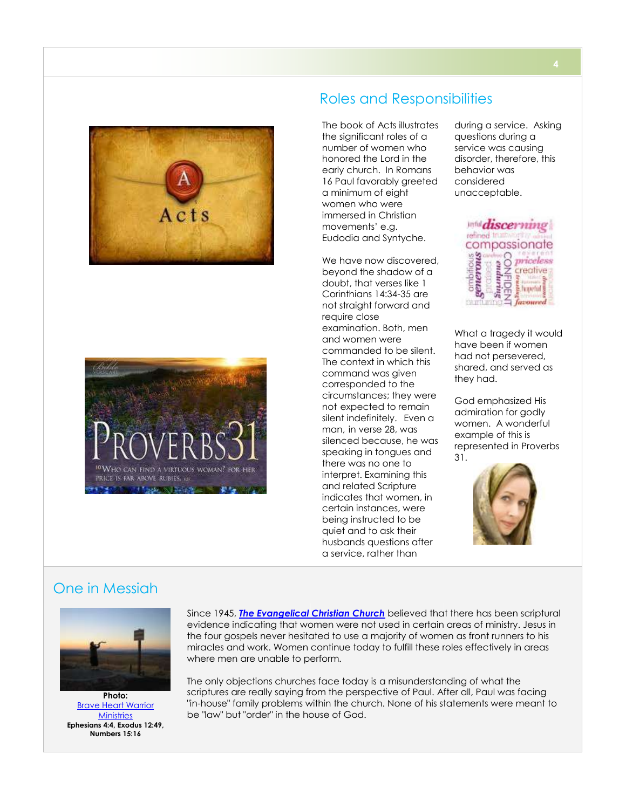



# Roles and Responsibilities

The book of Acts illustrates the significant roles of a number of women who honored the Lord in the early church. In Romans 16 Paul favorably greeted a minimum of eight women who were immersed in Christian movements' e.g. Eudodia and Syntyche.

We have now discovered. beyond the shadow of a doubt, that verses like 1 Corinthians 14:34-35 are not straight forward and require close examination. Both, men and women were commanded to be silent. The context in which this command was given corresponded to the circumstances; they were not expected to remain silent indefinitely. Even a man, in verse 28, was silenced because, he was speaking in tongues and there was no one to interpret. Examining this and related Scripture indicates that women, in certain instances, were being instructed to be quiet and to ask their husbands questions after a service, rather than

during a service. Asking questions during a service was causing disorder, therefore, this behavior was considered unacceptable.



have been if women had not persevered, shared, and served as they had.

God emphasized His admiration for godly women. A wonderful example of this is represented in Proverbs 31.



### One in Messiah



Brave [Heart Warrior](http://www.braveheartwarriorministries.com/)  **[Ministries](http://www.braveheartwarriorministries.com/) Ephesians 4:4, Exodus 12:49, Numbers 15:16**

Since 1945, *The [Evangelical Christian Church](http://www.cecconline.com/node/86)* believed that there has been scriptural evidence indicating that women were not used in certain areas of ministry. Jesus in the four gospels never hesitated to use a majority of women as front runners to his miracles and work. Women continue today to fulfill these roles effectively in areas where men are unable to perform.

The only objections churches face today is a misunderstanding of what the scriptures are really saying from the perspective of Paul. After all, Paul was facing "in-house" family problems within the church. None of his statements were meant to be "law" but "order" in the house of God.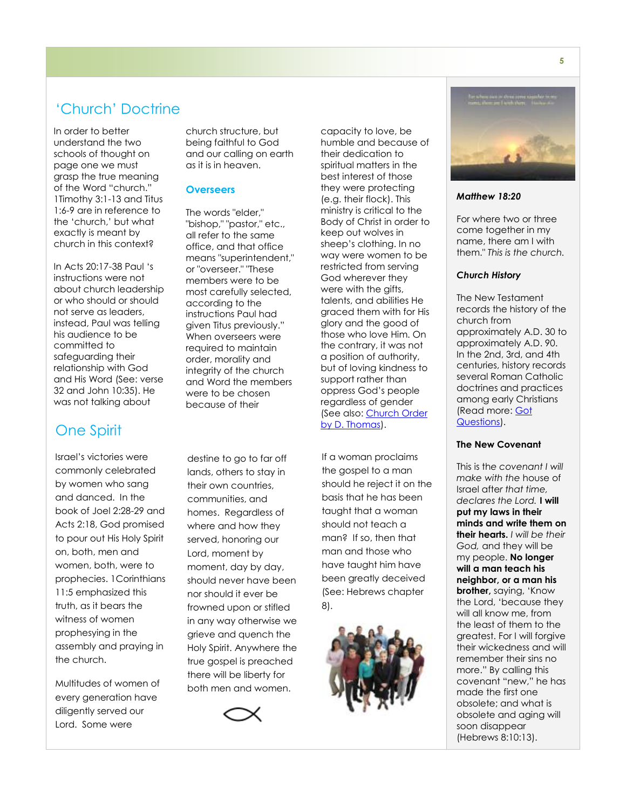# 'Church' Doctrine

In order to better understand the two schools of thought on page one we must grasp the true meaning of the Word "church." 1Timothy 3:1-13 and Titus 1:6-9 are in reference to the 'church,' but what exactly is meant by church in this context?

In Acts 20:17-38 Paul 's instructions were not about church leadership or who should or should not serve as leaders, instead, Paul was telling his audience to be committed to safeguarding their relationship with God and His Word (See: verse 32 and John 10:35). He was not talking about

# One Spirit

Israel's victories were commonly celebrated by women who sang and danced. In the book of Joel 2:28-29 and Acts 2:18, God promised to pour out His Holy Spirit on, both, men and women, both, were to prophecies. 1Corinthians 11:5 emphasized this truth, as it bears the witness of women prophesying in the assembly and praying in the church.

Multitudes of women of every generation have diligently served our Lord. Some were

church structure, but being faithful to God and our calling on earth as it is in heaven.

### **Overseers**

The words "elder," "bishop," "pastor," etc., all refer to the same office, and that office means "superintendent," or "overseer." "These members were to be most carefully selected, according to the instructions Paul had given Titus previously." When overseers were required to maintain order, morality and integrity of the church and Word the members were to be chosen because of their

destine to go to far off lands, others to stay in their own countries, communities, and homes. Regardless of where and how they served, honoring our Lord, moment by moment, day by day, should never have been nor should it ever be frowned upon or stifled in any way otherwise we grieve and quench the Holy Spirit. Anywhere the true gospel is preached there will be liberty for both men and women.



capacity to love, be humble and because of their dedication to spiritual matters in the best interest of those they were protecting (e.g. their flock). This ministry is critical to the Body of Christ in order to keep out wolves in sheep's clothing. In no way were women to be restricted from serving God wherever they were with the aifts, talents, and abilities He graced them with for His glory and the good of those who love Him. On the contrary, it was not a position of authority, but of loving kindness to support rather than oppress God's people regardless of gender (See also: [Church Order](http://ibiblestudies.com/auth/thomas/church_order.htm)  [by D. Thomas\)](http://ibiblestudies.com/auth/thomas/church_order.htm).

If a woman proclaims the gospel to a man should he reject it on the basis that he has been taught that a woman should not teach a man? If so, then that man and those who have taught him have been greatly deceived (See: Hebrews chapter 8).





*Matthew 18:20*

For where two or three come together in my name, there am I with them." *This is the church.*

### *Church History*

The New Testament records the history of the church from approximately A.D. 30 to approximately A.D. 90. In the 2nd, 3rd, and 4th centuries, history records several Roman Catholic doctrines and practices among early Christians (Read more: Got [Questions\)](http://www.gotquestions.org/original-church.html).

### **The New Covenant**

This is th*e covenant I will make with the* house of Israel afte*r that time, declares the Lord.* **I will put my laws in their minds and write them on their hearts.** *I will be their God,* and they will be my people. **No longer will a man teach his neighbor, or a man his brother,** saying, 'Know the Lord, 'because they will all know me, from the least of them to the greatest. For I will forgive their wickedness and will remember their sins no more." By calling this covenant "new," he has made the first one obsolete; and what is obsolete and aging will soon disappear (Hebrews 8:10:13).